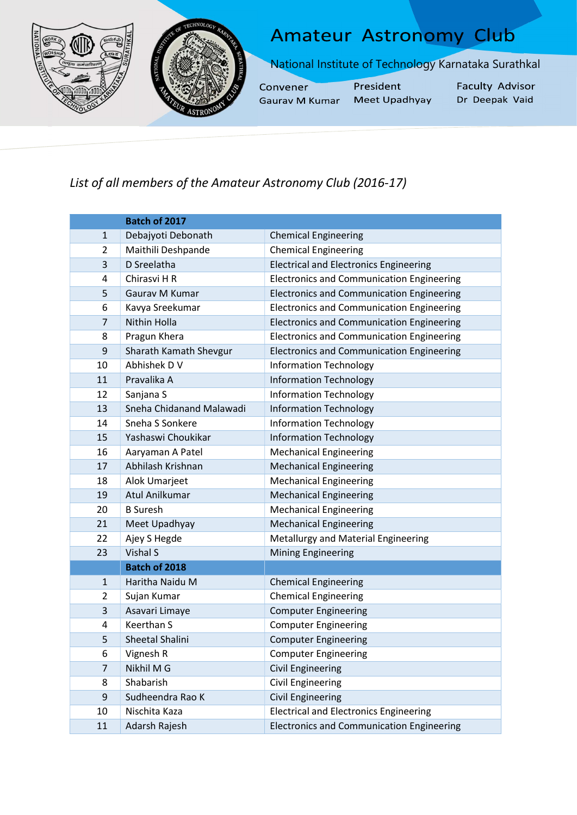



## **Amateur Astronomy Club**

National Institute of Technology Karnataka Surathkal

Convener Gaurav M Kumar President Meet Upadhyay **Faculty Advisor** Dr Deepak Vaid

## List of all members of the Amateur Astronomy Club (2016-17)

|                | Batch of 2017            |                                                  |
|----------------|--------------------------|--------------------------------------------------|
| $\mathbf{1}$   | Debajyoti Debonath       | <b>Chemical Engineering</b>                      |
| $\overline{2}$ | Maithili Deshpande       | <b>Chemical Engineering</b>                      |
| 3              | D Sreelatha              | <b>Electrical and Electronics Engineering</b>    |
| 4              | Chirasvi H R             | <b>Electronics and Communication Engineering</b> |
| 5              | Gaurav M Kumar           | <b>Electronics and Communication Engineering</b> |
| 6              | Kavya Sreekumar          | <b>Electronics and Communication Engineering</b> |
| $\overline{7}$ | Nithin Holla             | <b>Electronics and Communication Engineering</b> |
| 8              | Pragun Khera             | <b>Electronics and Communication Engineering</b> |
| 9              | Sharath Kamath Shevgur   | <b>Electronics and Communication Engineering</b> |
| 10             | Abhishek D V             | <b>Information Technology</b>                    |
| 11             | Pravalika A              | <b>Information Technology</b>                    |
| 12             | Sanjana S                | <b>Information Technology</b>                    |
| 13             | Sneha Chidanand Malawadi | <b>Information Technology</b>                    |
| 14             | Sneha S Sonkere          | <b>Information Technology</b>                    |
| 15             | Yashaswi Choukikar       | <b>Information Technology</b>                    |
| 16             | Aaryaman A Patel         | <b>Mechanical Engineering</b>                    |
| 17             | Abhilash Krishnan        | <b>Mechanical Engineering</b>                    |
| 18             | Alok Umarjeet            | <b>Mechanical Engineering</b>                    |
| 19             | Atul Anilkumar           | <b>Mechanical Engineering</b>                    |
| 20             | <b>B</b> Suresh          | <b>Mechanical Engineering</b>                    |
| 21             | Meet Upadhyay            | <b>Mechanical Engineering</b>                    |
| 22             | Ajey S Hegde             | Metallurgy and Material Engineering              |
| 23             | <b>Vishal S</b>          | <b>Mining Engineering</b>                        |
|                | Batch of 2018            |                                                  |
| $\mathbf{1}$   | Haritha Naidu M          | <b>Chemical Engineering</b>                      |
| $\overline{2}$ | Sujan Kumar              | <b>Chemical Engineering</b>                      |
| 3              | Asavari Limaye           | <b>Computer Engineering</b>                      |
| 4              | <b>Keerthan S</b>        | <b>Computer Engineering</b>                      |
| 5              | Sheetal Shalini          | <b>Computer Engineering</b>                      |
| 6              | Vignesh R                | <b>Computer Engineering</b>                      |
| 7              | Nikhil M G               | <b>Civil Engineering</b>                         |
| 8              | Shabarish                | <b>Civil Engineering</b>                         |
| 9              | Sudheendra Rao K         | <b>Civil Engineering</b>                         |
| 10             | Nischita Kaza            | <b>Electrical and Electronics Engineering</b>    |
| $11\,$         | Adarsh Rajesh            | <b>Electronics and Communication Engineering</b> |